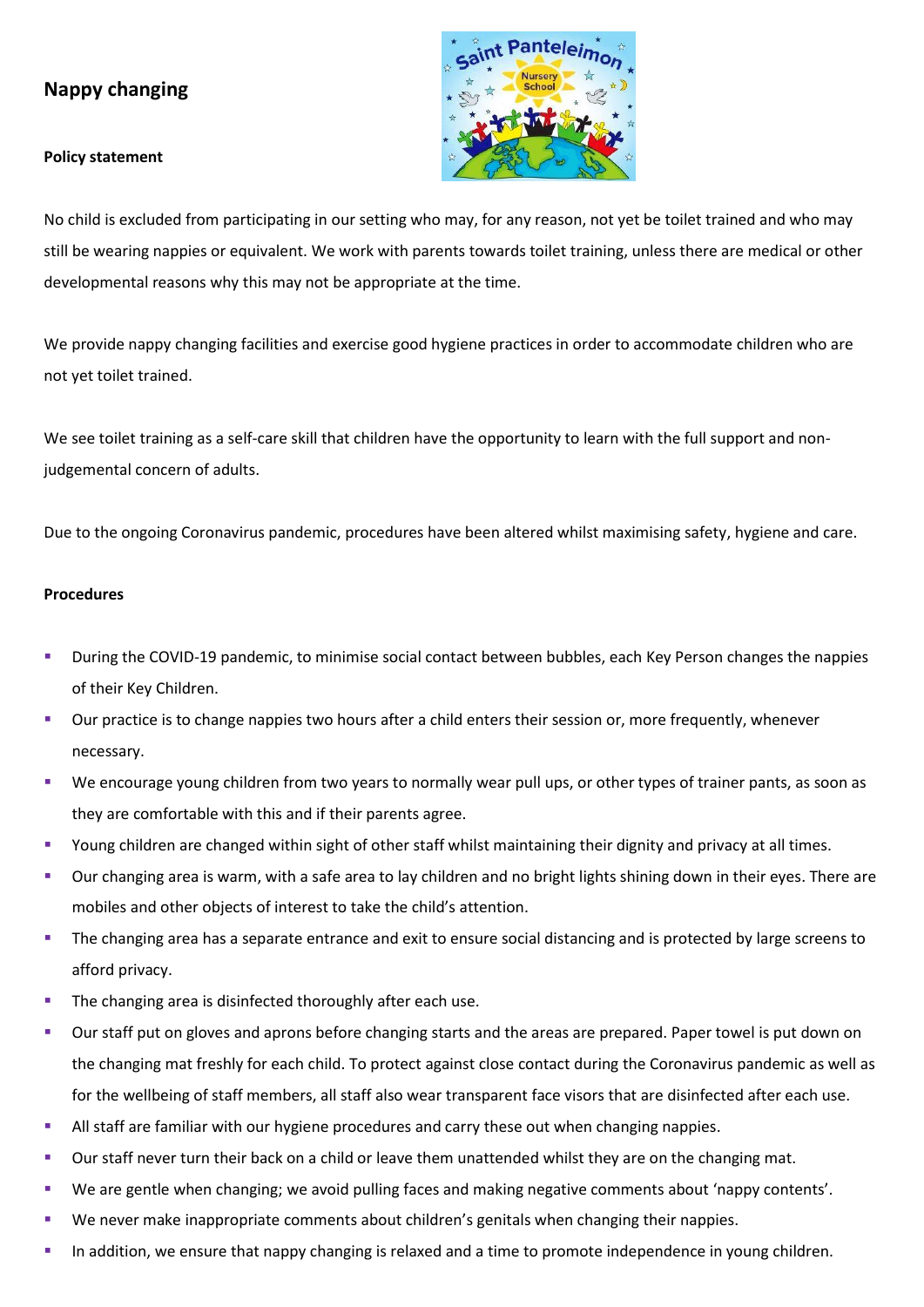## **Nappy changing**

## **Policy statement**



No child is excluded from participating in our setting who may, for any reason, not yet be toilet trained and who may still be wearing nappies or equivalent. We work with parents towards toilet training, unless there are medical or other developmental reasons why this may not be appropriate at the time.

We provide nappy changing facilities and exercise good hygiene practices in order to accommodate children who are not yet toilet trained.

We see toilet training as a self-care skill that children have the opportunity to learn with the full support and nonjudgemental concern of adults.

Due to the ongoing Coronavirus pandemic, procedures have been altered whilst maximising safety, hygiene and care.

## **Procedures**

- During the COVID-19 pandemic, to minimise social contact between bubbles, each Key Person changes the nappies of their Key Children.
- Our practice is to change nappies two hours after a child enters their session or, more frequently, whenever necessary.
- We encourage young children from two years to normally wear pull ups, or other types of trainer pants, as soon as they are comfortable with this and if their parents agree.
- Young children are changed within sight of other staff whilst maintaining their dignity and privacy at all times.
- Our changing area is warm, with a safe area to lay children and no bright lights shining down in their eyes. There are mobiles and other objects of interest to take the child's attention.
- The changing area has a separate entrance and exit to ensure social distancing and is protected by large screens to afford privacy.
- The changing area is disinfected thoroughly after each use.
- Our staff put on gloves and aprons before changing starts and the areas are prepared. Paper towel is put down on the changing mat freshly for each child. To protect against close contact during the Coronavirus pandemic as well as for the wellbeing of staff members, all staff also wear transparent face visors that are disinfected after each use.
- **EXECUTE:** All staff are familiar with our hygiene procedures and carry these out when changing nappies.
- Our staff never turn their back on a child or leave them unattended whilst they are on the changing mat.
- We are gentle when changing; we avoid pulling faces and making negative comments about 'nappy contents'.
- We never make inappropriate comments about children's genitals when changing their nappies.
- In addition, we ensure that nappy changing is relaxed and a time to promote independence in young children.